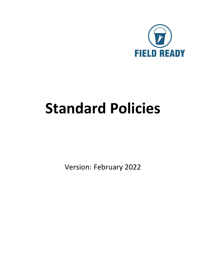

# **Standard Policies**

Version: February 2022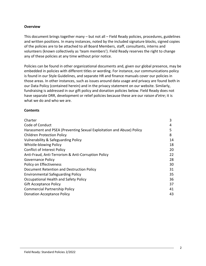#### **Overview**

This document brings together many – but not all – Field Ready policies, procedures, guidelines and written positions. In many instances, noted by the included signature blocks, signed copies of the policies are to be attached to all Board Members, staff, consultants, interns and volunteers (known collectively as 'team members'). Field Ready reserves the right to change any of these policies at any time without prior notice.

Policies can be found in other organizational documents and, given our global presence, may be embedded in policies with different titles or wording. For instance, our communications policy is found in our Style Guidelines, and separate HR and finance manuals cover our policies in those areas. In other instances, such as issues around data usage and privacy are found both in our Data Policy (contained herein) and in the privacy statement on our website. Similarly, fundraising is addressed in our gift policy and donation policies below. Field Ready does not have separate DRR, development or relief policies because these are our *raison d'etre*; it is what we do and who we are.

#### **Contents**

| Charter                                                               | 3  |
|-----------------------------------------------------------------------|----|
| Code of Conduct                                                       | 4  |
| Harassment and PSEA (Preventing Sexual Exploitation and Abuse) Policy | 5  |
| <b>Children Protection Policy</b>                                     | 8  |
| Vulnerability & Safeguarding Policy                                   | 14 |
| Whistle-blowing Policy                                                | 18 |
| <b>Conflict of Interest Policy</b>                                    | 20 |
| Anti-Fraud, Anti-Terrorism & Anti-Corruption Policy                   | 22 |
| <b>Governance Policy</b>                                              | 28 |
| Policy on Effectiveness                                               | 30 |
| Document Retention and Destruction Policy                             | 31 |
| <b>Environmental Safeguarding Policy</b>                              | 35 |
| Occupational Health and Safety Policy                                 | 36 |
| <b>Gift Acceptance Policy</b>                                         | 37 |
| <b>Commercial Partnership Policy</b>                                  | 41 |
| <b>Donation Acceptance Policy</b>                                     | 43 |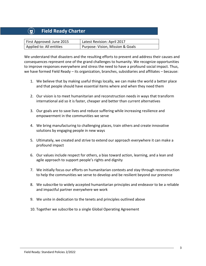# **Field Ready Charter**

| First Approved: June 2015 | Latest Revision: April 2017      |
|---------------------------|----------------------------------|
| Applied to: All entities  | Purpose: Vision, Mission & Goals |

We understand that disasters and the resulting efforts to prevent and address their causes and consequences represent one of the grand challenges to humanity. We recognize opportunities to improve responses everywhere and stress the need to have a profound social impact. Thus, we have formed Field Ready – its organization, branches, subsidiaries and affiliates – because:

- 1. We believe that by making useful things locally, we can make the world a better place and that people should have essential items where and when they need them
- 2. Our vision is to meet humanitarian and reconstruction needs in ways that transform international aid so it is faster, cheaper and better than current alternatives
- 3. Our goals are to save lives and reduce suffering while increasing resilience and empowerment in the communities we serve
- 4. We bring manufacturing to challenging places, train others and create innovative solutions by engaging people in new ways
- 5. Ultimately, we created and strive to extend our approach everywhere it can make a profound impact
- 6. Our values include respect for others, a bias toward action, learning, and a lean and agile approach to support people's rights and dignity
- 7. We initially focus our efforts on humanitarian contexts and stay through reconstruction to help the communities we serve to develop and be resilient beyond our presence
- 8. We subscribe to widely accepted humanitarian principles and endeavor to be a reliable and impactful partner everywhere we work
- 9. We unite in dedication to the tenets and principles outlined above
- 10. Together we subscribe to a single Global Operating Agreement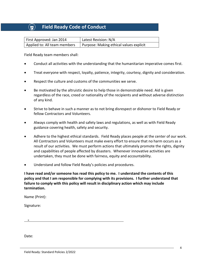## **(** $\widehat{r}$ **)** Field Ready Code of Conduct

| First Approved: Jan 2014     | Latest Revision: N/A                    |
|------------------------------|-----------------------------------------|
| Applied to: All team members | Purpose: Making ethical values explicit |

Field Ready team members shall:

- Conduct all activities with the understanding that the humanitarian imperative comes first.
- Treat everyone with respect, loyalty, patience, integrity, courtesy, dignity and consideration.
- Respect the culture and customs of the communities we serve.
- Be motivated by the altruistic desire to help those in demonstrable need. Aid is given regardless of the race, creed or nationality of the recipients and without adverse distinction of any kind.
- Strive to behave in such a manner as to not bring disrespect or dishonor to Field Ready or fellow Contractors and Volunteers.
- Always comply with health and safety laws and regulations, as well as with Field Ready guidance covering health, safety and security.
- Adhere to the highest ethical standards. Field Ready places people at the center of our work. All Contractors and Volunteers must make every effort to ensure that no harm occurs as a result of our activities. We must perform actions that ultimately promote the rights, dignity and capabilities of people affected by disasters. Whenever innovative activities are undertaken, they must be done with fairness, equity and accountability.
- Understand and follow Field Ready's policies and procedures.

**I have read and/or someone has read this policy to me. I understand the contents of this policy and that I am responsible for complying with its provisions. I further understand that failure to comply with this policy will result in disciplinary action which may include termination.** 

Name (Print):

Signature:

X

Date: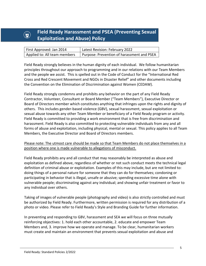# *<b>A* **Field Ready Harassment and PSEA (Preventing Sexual <b>***R* **Exploitation and Abuse) Policy**

| First Approved: Jan 2014     | Latest Revision: February 2022             |
|------------------------------|--------------------------------------------|
| Applied to: All team members | Purpose: Prevention of harassment and PSEA |

Field Ready strongly believes in the human dignity of each individual. We follow humanitarian principles throughout our approach to programming and in our relations with our Team Members and the people we assist. This is spelled out in the Code of Conduct for the "International Red Cross and Red Crescent Movement and NGOs in Disaster Relief" and other documents including the Convention on the Elimination of Discrimination against Women (CEDAW).

Field Ready strongly condemns and prohibits any behavior on the part of any Field Ready Contractor, Volunteer, Consultant or Board Member ("Team Members"), Executive Director or Board of Directors member which constitutes anything that infringes upon the rights and dignity of others. This includes gender-based violence (GBV), sexual harassment, sexual exploitation or sexual abuse towards any other Team Member or beneficiary of a Field Ready program or activity. Field Ready is committed to providing a work environment that is free from discrimination and harassment. Field Ready is also committed to protecting vulnerable individuals from any and all forms of abuse and exploitation, including physical, mental or sexual. This policy applies to all Team Members, the Executive Director and Board of Directors members.

## Please note: The utmost care should be made so that Team Members do not place themselves in a position where one is made vulnerable to allegations of misconduct.

Field Ready prohibits any and all conduct that may reasonably be interpreted as abuse and exploitation as defined above, regardless of whether or not such conduct meets the technical legal definition of criminal abuse or exploitation. Examples of this may include, but are not limited to: doing things of a personal nature for someone that they can do for themselves; condoning or participating in behavior that is illegal, unsafe or abusive; spending excessive time alone with vulnerable people; discriminating against any individual; and showing unfair treatment or favor to any individual over others.

Taking of images of vulnerable people (photography and video) is also strictly controlled and must be authorized by Field Ready. Furthermore, written permission is required for any distribution of a photo or video. Please refer to Field Ready's Style and Branding Guide for further information.

In preventing and responding to GBV, harassment and SEA we will focus on three mutually reinforcing objectives: 1. hold each other accountable, 2. educate and empower Team Members and, 3. improve how we operate and manage. To be clear, humanitarian workers must create and maintain an environment that prevents sexual exploitation and abuse and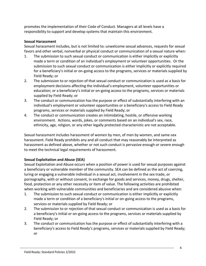promotes the implementation of their Code of Conduct. Managers at all levels have a responsibility to support and develop systems that maintain this environment.

#### **Sexual Harassment**

Sexual harassment includes, but is not limited to: unwelcome sexual advances, requests for sexual favors and other verbal, nonverbal or physical conduct or communication of a sexual nature when:

- 1. The submission to such sexual conduct or communication is either implicitly or explicitly made a term or condition of an individual's employment or volunteer opportunities. Or the submission to such sexual conduct or communication is either implicitly or explicitly required for a beneficiary's initial or on-going access to the programs, services or materials supplied by Field Ready; or
- 2. The submission to or rejection of that sexual conduct or communication is used as a basis for employment decisions affecting the individual's employment, volunteer opportunities or education; or a beneficiary's initial or on-going access to the programs, services or materials supplied by Field Ready; or
- 3. The conduct or communication has the purpose or effect of substantially interfering with an individual's employment or volunteer opportunities or a beneficiary's access to Field Ready programs, services or materials supplied by Field Ready; or
- 4. The conduct or communication creates an intimidating, hostile, or offensive working environment. Actions, words, jokes, or comments based on an individual's sex, race, ethnicity, age, religion, or any other legally protected characteristic are not acceptable.

Sexual harassment includes harassment of women by men, of men by women, and same-sex harassment. Field Ready prohibits any and all conduct that may reasonably be interpreted as harassment as defined above, whether or not such conduct is pervasive enough or severe enough to meet the technical legal requirements of harassment.

## **Sexual Exploitation and Abuse (SEA)**

Sexual Exploitation and Abuse occurs when a position of power is used for sexual purposes against a beneficiary or vulnerable member of the community. SEA can be defined as the act of coercing, luring or engaging a vulnerable individual in a sexual act, involvement in the sex trade, or pornography, with or without consent, in exchange for goods and services, money, drugs, shelter, food, protection or any other necessity or item of value. The following activities are prohibited when working with vulnerable communities and beneficiaries and are considered abusive when:

- 1. The submission to such sexual conduct or communication is either implicitly or explicitly made a term or condition of a beneficiary's initial or on-going access to the programs, services or materials supplied by Field Ready; or
- 2. The submission to or rejection of that sexual conduct or communication is used as a basis for a beneficiary's initial or on-going access to the programs, services or materials supplied by Field Ready; or
- 3. The conduct or communication has the purpose or effect of substantially interfering with a beneficiary's access to Field Ready's programs, services or materials supplied by Field Ready; or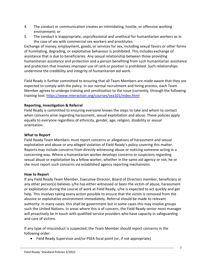- 4. The conduct or communication creates an intimidating, hostile, or offensive working environment; or
- 5. The conduct is inappropriate, unprofessional and unethical for humanitarian workers as in the case of sex with commercial sex workers and prostitutes.

Exchange of money, employment, goods, or services for sex, including sexual favors or other forms of humiliating, degrading, or exploitative behaviour is prohibited. This includes exchange of assistance that is due to beneficiaries. Any sexual relationship between those providing humanitarian assistance and protection and a person benefiting from such humanitarian assistance and protection that involves improper use of rank or position is prohibited. Such relationships undermine the credibility and integrity of humanitarian aid work.

Field Ready is further committed to ensuring that all Team Members are made aware that they are expected to comply with the policy. In our normal recruitment and hiring process, each Team Member agrees to undergo training and sensitization to the issue (currently, through the following training tool:<https://www.interaction.org/courses/sea101/index.html>

#### **Reporting, Investigation & Referral**

Field Ready is committed to ensuring everyone knows the steps to take and whom to contact when concerns arise regarding harassment, sexual exploitation and abuse. These policies apply equally to everyone regardless of ethnicity, gender, age, religion, disability or sexual orientation.

#### **What to Report**

Field Ready Team Members must report concerns or allegations of harassment and sexual exploitation and abuse or any alleged violation of Field Ready's policy covering this matter. Reports may include concerns from directly witnessing abuse or noticing someone acting in a concerning way. Where a humanitarian worker develops concerns or suspicions regarding sexual abuse or exploitation by a fellow worker, whether in the same aid agency or not, he or she must report such concerns via established agency reporting mechanisms.

#### **How to Report**

If any Field Ready Team Member, Executive Director, Board of Directors member, beneficiary or any other person(s) believes s/he has either witnessed or been the victim of abuse, harassment or exploitation during the course of work at Field Ready, s/he is expected to act quickly and get help. This involves taking every action possible to ensure that the victim is removed from the abusive or exploitative environment immediately. Referral should be made to relevant authority. In many cases, this shall be government but in some cases this may involve groups such the United Nations. In areas where this is of concern, the Field Ready senior most manager will proactively be in touch with qualified service providers who have capacity in safeguarding and care of victims.

If any type of misconduct is suspected, the Team Member should report concerns in the following order:

• Field Ready Supervisor and/or PSEA focal point (or, if not appropriate)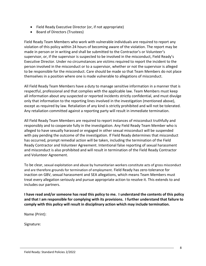- Field Ready Executive Director (or, if not appropriate)
- Board of Directors (Trustees)

Field Ready Team Members who work with vulnerable individuals are required to report any violation of this policy within 24 hours of becoming aware of the violation. The report may be made in person or in writing and shall be submitted to the Contractor's or Volunteer's supervisor, or, if the supervisor is suspected to be involved in the misconduct, Field Ready's Executive Director. Under no circumstances are victims required to report the incident to the person involved in the misconduct or to a supervisor, whether or not the supervisor is alleged to be responsible for the misconduct. Care should be made so that Team Members do not place themselves in a position where one is made vulnerable to allegations of misconduct.

All Field Ready Team Members have a duty to manage sensitive information in a manner that is respectful, professional and that complies with the applicable law. Team Members must keep all information about any suspected or reported incidents strictly confidential, and must divulge only that information to the reporting lines involved in the investigation (mentioned above), except as required by law. Retaliation of any kind is strictly prohibited and will not be tolerated. Any retaliation committed against a reporting party will result in immediate termination.

All Field Ready Team Members are required to report instances of misconduct truthfully and responsibly and to cooperate fully in the investigation. Any Field Ready Team Member who is alleged to have sexually harassed or engaged in other sexual misconduct will be suspended with pay pending the outcome of the investigation. If Field Ready determines that misconduct has occurred, prompt remedial action will be taken, including the termination of the Field Ready Contractor and Volunteer Agreement. Intentional false reporting of sexual harassment and misconduct is also prohibited and will result in termination of the Field Ready Contractor and Volunteer Agreement.

To be clear, sexual exploitation and abuse by humanitarian workers constitute acts of gross misconduct and are therefore grounds for termination of employment. Field Ready has zero-tolerance for inaction on GBV, sexual harassment and SEA allegations, which means Team Members must treat every allegation seriously and pursue appropriate action to resolve it. This extends to and includes our partners.

**I have read and/or someone has read this policy to me. I understand the contents of this policy and that I am responsible for complying with its provisions. I further understand that failure to comply with this policy will result in disciplinary action which may include termination.** 

Name (Print):

Signature: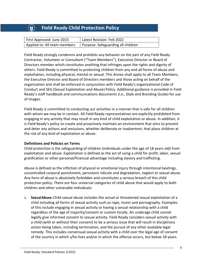# **Field Ready Child Protection Policy**

| First Approved: June 2015    | Latest Revision: Feb 2022          |
|------------------------------|------------------------------------|
| Applied to: All team members | Purpose: Safeguarding all children |

Field Ready strongly condemns and prohibits any behavior on the part of any Field Ready Contractor, Volunteer or Consultant ("Team Members"), Executive Director or Board of Directors member which constitutes anything that infringes upon the rights and dignity of others. Field Ready is committed to protecting children from any and all forms of abuse and exploitation, including physical, mental or sexual. This Annex shall apply to all Team Members, the Executive Director and Board of Directors members and those acting on behalf of the organization and shall be enforced in conjunction with Field Ready's organizational Code of Conduct and SEA (Sexual Exploitation and Abuse) Policy. Additional guidance is provided in Field Ready's staff handbook and communications documents (i.e., Style and Branding Guide) for use of images.

Field Ready is committed to conducting our activities in a manner that is safe for all children with whom we may be in contact. All Field Ready representatives are explicitly prohibited from engaging in any activity that may result in any kind of child exploitation or abuse. In addition, it is Field Ready's policy to create and proactively maintain an environment that aims to prevent and deter any actions and omissions, whether deliberate or inadvertent, that place children at the risk of any kind of exploitation or abuse.

#### **Definitions and Policies on Terms**

Child protection is the safeguarding of children (individuals under the age of 18 years old) from exploitation and abuse. Exploitation is defined as the act of using a child for profit, labor, sexual gratification or other personal/financial advantage including slavery and trafficking.

Abuse is defined as the infliction of physical or emotional injury through intentional beatings, uncontrolled corporal punishment, persistent ridicule and degradation, neglect or sexual abuse. Any form of abuse is absolutely forbidden and constitutes a serious breach of this child protection policy. There are four universal categories of child abuse that would apply to both children and other vulnerable individuals:

1. **SexualAbuse**:Child sexual abuse includes the actual or threatened sexual exploitation of a child including all forms of sexual activity such as rape, incest and pornography. Examples of this include engaging in sexual activity or having a sexual relationship with a child regardless of the age of majority/consent or custom locally. An underage child cannot legally give informed consent to sexual activity. Field Ready considers sexual activity with a child (with or without their consent) to be a serious issue that will result in disciplinary action being taken, including termination, and the pursuit of any other available legal remedy. This includes consensual sexual activity with a child over the legal age of consent of the country in which s/he lives and/or in which the offense occurs, but below 18 years.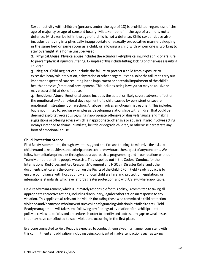Sexual activity with children (persons under the age of 18) is prohibited regardless of the age of majority or age of consent locally. Mistaken belief in the age of a child is not a defence. Mistaken belief in the age of a child is not a defense. Child sexual abuse also includes behaving in a physically inappropriate or sexually provocative manner, sleeping in the same bed or same room as a child, or allowing a child with whom one is working to stay overnight at a home unsupervised.

2. **PhysicalAbuse**: Physicalabuseincludestheactualorlikelyphysicalinjuryofachildorafailure to prevent physical injury or suffering. Examples of this include hitting, kicking or otherwise assaulting children.

3. **Neglect**: Child neglect can include the failure to protect a child from exposure to excessive heat/cold, starvation, dehydration or other dangers. It can also be the failure to carry out important aspects of care resulting in the impairment or potential impairment ofthe child's health or physical/emotional development. Thisincludes acting in waysthat may be abusive or may place a child at risk of abuse.

4. **Emotional Abuse**: Emotional abuse includes the actual or likely severe adverse effect on the emotional *and* behavioral development of a child caused by persistent or severe emotional mistreatment or rejection. All abuse involves emotional mistreatment. This includes, but is not limited to, such as examples as: developing relationships with children that could be deemed exploitativeorabusive;usinginappropriate,offensiveorabusivelanguage;andmaking suggestions or offering advice which is inappropriate, offensive or abusive. It also involves acting inways intended to shame, humiliate, belittle or degrade children, or otherwise perpetrate any form of emotional abuse.

#### **Child Protection Stance**

Field Ready is committed, through awareness, good practice and training, to minimize the risks to childrenandtakepositivestepstohelpprotectchildrenwhoarethesubjectofanyconcerns.We follow humanitarian principles throughout our approach to programming and in our relations with our Team Members and the people we assist. This is spelled out in the Code of Conduct for the International Red Cross and Red Crescent Movement and NGOs in Disaster Relief and other documents particularly the Convention on the Rights of the Child (CRC). Field Ready's policy is to ensure compliance with host country and local child welfare and protection legislation, or international standards, whichever affords greater protection, and with US law, where applicable.

Field Readymanagement, which is ultimately responsible forthis policy, is committed to taking all appropriatecorrectiveactions,includingdisciplinary,legalorotheractionsinresponsetoany violation. This appliesto allrelevant individuals(including those who committed a child protection violationand/oranyonewhoknewofsuchchildsafeguardingviolationbutfailedtoact). Field Ready management will take steps following any findings of a violation of this child protection policy to review its policies and procedures in order to identify and address any gaps or weaknesses that may have contributed to such violations occurring in the first place.

Everyone connected to Field Ready is expected to conduct themselvesin a manner consistent with this commitment and obligation (including being cognizant of inadvertent actions such as taking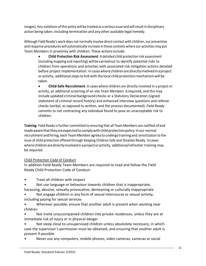images). Any violations ofthis policy will be treated as a seriousissue and willresultin disciplinary action being taken, including termination and any other available legal remedy.

Although Field Ready's work does not normally involve direct contact with children, our preventive and response procedures will automatically increase in those contexts where our activities may put Team Members in proximity with children. These actionsinclude:

• **Child Protection Risk Assessment**: A detailed child protection risk assessment (including mapping and reporting) willbecarriedout to identify potential risks to children from operations and activities with associated risk mitigation actions detailed before project implementation. In caseswherechildrenaredirectlyinvolvedinaproject or activity, additional steps to link with the local child protection mechanism will be taken.

• **Child-Safe Recruitment**: In cases where children are directly involved in a project or activity, an additional screening of on-site Team Members is required, and this may include updated criminal background checks or a Statutory Declaration (signed statement of criminal record history) and enhanced interview questions and referee checks (verbal, as opposed to written, and the process documented). Field Ready commits to not contracting any individual found to pose an unacceptable risk to children.

**Training**: Field Ready is further committed to ensuring that all Team Members are notified ofand made aware that they are expected to comply with child protection policy. In our normal recruitment and hiring, each TeamMember agreestoundergo training and sensitization to the issue of child protection offered through Keeping Children Safe and DisasterReady. Incases where children are directly involved in a project or activity, additional/refresher training may be required.

## Child Protection Code of Conduct

In addition Field Ready Team Members are required to read and follow the Field Ready Child Protection Code of Conduct:

- Treat all children with respect
- Not use language or behaviour towards children that is inappropriate, harassing, abusive, sexually provocative, demeaning or culturally inappropriate
- Not engage children in any form of sexual intercourse or sexual activity, including paying for sexual services
- Wherever possible, ensure that another adult is present when working near children
- Not invite unaccompanied children into private residences, unless they are at immediate risk of injury or in physical danger
- Not sleep close to unsupervised children unless absolutely necessary, in which case the supervisor's permission must be obtained, and ensuring that another adult is present if possible
- Never use any computers, mobile phones, video cameras, cameras or social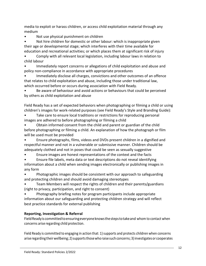media to exploit or harass children, or access child exploitation material through any medium

• Not use physical punishment on children

• Not hire children for domestic or other labour: which is inappropriate given their age or developmental stage; which interferes with their time available for education and recreational activities; or which places them at significant risk of injury

• Comply with all relevant local legislation, including labour laws in relation to child labour

• Immediately report concerns or allegations of child exploitation and abuse and policy non-compliance in accordance with appropriate procedures

• Immediately disclose all charges, convictions and other outcomes of an offence that relates to child exploitation and abuse, including those under traditional law, which occurred before or occurs during association with Field Ready.

• Be aware of behaviour and avoid actions or behaviours that could be perceived by others as child exploitation and abuse

Field Ready has a set of expected behaviors when photographing or filming a child or using children's images for work-related purposes (see Field Ready's Style and Branding Guide):

Take care to ensure local traditions or restrictions for reproducing personal images are adhered to before photographing or filming a child

• Obtain informed consent from the child and parent or guardian of the child before photographing or filming a child. An explanation of how the photograph or film will be used must be provided

• Ensure photographs, films, videos and DVDs present children in a dignified and respectful manner and not in a vulnerable or submissive manner. Children should be adequately clothed and not in poses that could be seen as sexually suggestive

• Ensure images are honest representations of the context and the facts

• Ensure file labels, meta data or text descriptions do not reveal identifying information about a child when sending images electronically or publishing images in any form

• Photographic images should be consistent with our approach to safeguarding and protecting children and should avoid damaging stereotypes

• Team Members will respect the rights of children and their parents/guardians (right to privacy, participation, and right to consent)

• Photography briefing notes for program participants include appropriate information about our safeguarding and protecting children strategy and will reflect best practice standards for external publishing

## **Reporting, Investigation & Referral**

Field Ready is committed to ensuring everyone knows the steps to take and whom to contact when concerns arise regarding child protection.

Field Ready is committed to engaging in action that: 1) supports and protects children when concerns arise regarding their wellbeing; 2) supports those who raise such concerns; 3) investigates or cooperates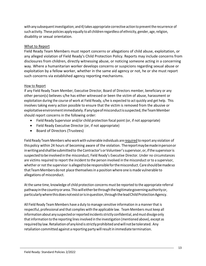with any subsequent investigation; and 4) takes appropriate corrective action to prevent the recurrence of such activity. These policies apply equally to all children regardless of ethnicity, gender, age, religion, disability or sexual orientation.

## What to Report

Field Ready Team Members must report concerns or allegations of child abuse, exploitation, or any alleged violation of Field Ready's Child Protection Policy. Reports may include concerns from disclosures from children, directly witnessing abuse, or noticing someone acting in a concerning way. Where a humanitarian worker develops concerns or suspicions regarding sexual abuse or exploitation by a fellow worker, whether in the same aid agency or not, he or she must report such concerns via established agency reporting mechanisms.

#### How to Report

If any Field Ready Team Member, Executive Director, Board of Directors member, beneficiary or any other person(s) believes s/he has either witnessed or been the victim of abuse, harassment or exploitation during the course of work at Field Ready, s/he is expected to act quickly and get help. This involves taking every action possible to ensure that the victim is removed from the abusive or exploitative environment immediately. If any type of misconduct is suspected, the Team Member should report concerns in the following order:

- Field Ready Supervisor and/or child protection focal point (or, if not appropriate)
- Field Ready Executive Director (or, if not appropriate)
- Board of Directors (Trustees)

Field Ready Team Members who work with vulnerable individuals are required to report any violation of thispolicy within 24 hours of becoming aware of the violation. Thereportmaybemadeinpersonor inwritingandshallbesubmittedto theContractor's orVolunteer'ssupervisor, or,ifthe supervisoris suspected tobe involved in the misconduct, Field Ready's Executive Director. Under no circumstances are victims required to report the incident to the person involved in the misconduct or to a supervisor, whether or not the supervisor is alleged to be responsible for the misconduct. Care should be made so thatTeamMembersdonot place themselvesin a position where one ismade vulnerable to allegations of misconduct.

At the same time, knowledge of child protection concerns must be reported to the appropriate referral pathwayinthecountryorarea.Thiswilleitherbethroughthelegitimategoverningauthorityor, particularly where this does not exist or is in question, through the lead Child Protection Agency.

All Field Ready Team Members have a duty to manage sensitive information in a manner that is respectful, professional and that complies with the applicable law. Team Members must keep all information about any suspected or reported incidents strictly confidential, and must divulge only thatinformation to the reporting linesinvolved in the investigation (mentioned above), except as required by law. Retaliation of any kind is strictly prohibited and will not be tolerated. Any retaliation committed against a reporting partywillresultin immediate termination.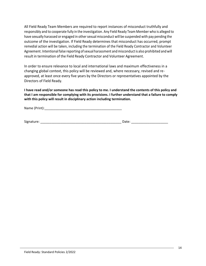All Field Ready Team Members are required to report instances of misconduct truthfully and responsibly and to cooperate fully in the investigation. Any Field Ready Team Member who is alleged to have sexually harassed or engaged in other sexual misconduct will be suspended with pay pending the outcome of the investigation. If Field Ready determines that misconduct has occurred, prompt remedial action will be taken, including the termination of the Field Ready Contractor and Volunteer Agreement. Intentional false reporting of sexual harassment and misconduct is also prohibited and will result in termination of the Field Ready Contractor and Volunteer Agreement.

In order to ensure relevance to local and international laws and maximum effectiveness in a changing global context, this policy will be reviewed and, where necessary, revised and reapproved, at least once every five years by the Directors or representatives appointed by the Directors of Field Ready.

**I have read and/or someone has read this policy to me. I understand the contents of this policy and that I am responsible for complying with its provisions. I further understand that a failure to comply with this policy will result in disciplinary action including termination.** 

Name (Print):\_\_\_\_\_\_\_\_\_\_\_\_\_\_\_\_\_\_\_\_\_\_\_\_\_\_\_\_\_\_\_\_\_\_\_\_\_\_\_\_\_\_

Signature: \_\_\_\_\_\_\_\_\_\_\_\_\_\_\_\_\_\_\_\_\_\_\_\_\_\_\_\_\_\_\_\_\_\_\_\_\_\_\_\_\_\_\_\_ Date: \_\_\_\_\_\_\_\_\_\_\_\_\_\_\_\_\_\_\_\_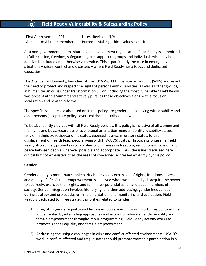## **Field Ready Vulnerability & Safeguarding Policy**

| First Approved: Jan 2014     | Latest Revision: N/A                    |
|------------------------------|-----------------------------------------|
| Applied to: All team members | Purpose: Making ethical values explicit |

As a non-governmental humanitarian and development organization, Field Ready is committed to full inclusion, freedom, safeguarding and support to groups and individuals who may be deprived, excluded and otherwise vulnerable. This is particularly the case in emergency situations – crises, conflict and disasters – where Field Ready has a focus and dedicated capacities.

The Agenda for Humanity, launched at the 2016 World Humanitarian Summit (WHS) addressed the need to protect and respect the rights of persons with disabilities, as well as other groups, in humanitarian crisis under transformation 3G on 'including the most vulnerable.' Field Ready was present at this Summit and actively pursues these objectives along with a focus on localization and related reforms.

The specific issue areas elaborated on in this policy are gender, people living with disability and older persons (a separate policy covers children) described below.

To be abundantly clear, as with all Field Ready policies, this policy is inclusive of all women and men, girls and boys, regardless of age, sexual orientation, gender identity, disability status, religion, ethnicity, socioeconomic status, geographic area, migratory status, forced displacement or health (e.g., people living with HIV/AIDS) status. Through its programs, Field Ready also actively promotes social cohesion, increases in freedom, reductions in tension and peace between people wherever possible and appropriate. Thus, the issues discussed here critical but not exhaustive to all the areas of concerned addressed explicitly by this policy.

#### **Gender**

Gender quality is more than simple parity but involves expansion of rights, freedoms, access and quality of life. Gender empowerment is achieved when women and girls acquire the power to act freely, exercise their rights, and fulfill their potential as full and equal members of society. Gender integration involves identifying, and then addressing, gender inequalities during strategy and project design, implementation, and monitoring and evaluation. Field Ready is dedicated to three strategic priorities related to gender:

- 1) Integrating gender equality and female empowerment into our work: This policy will be implemented by integrating approaches and actions to advance gender equality and female empowerment throughout our programming. Field Ready activity works to promote gender equality and female empowerment.
- 2) Addressing the unique challenges in crisis and conflict affected environments: USAID's work in conflict affected and fragile states should promote women's participation in all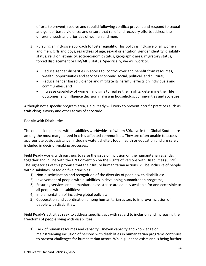efforts to prevent, resolve and rebuild following conflict; prevent and respond to sexual and gender based violence; and ensure that relief and recovery efforts address the different needs and priorities of women and men.

- 3) Pursuing an inclusive approach to foster equality: This policy is inclusive of all women and men, girls and boys, regardless of age, sexual orientation, gender identity, disability status, religion, ethnicity, socioeconomic status, geographic area, migratory status, forced displacement or HIV/AIDS status. Specifically, we will work to:
	- Reduce gender disparities in access to, control over and benefit from resources, wealth, opportunities and services economic, social, political, and cultural;
	- Reduce gender based violence and mitigate its harmful effects on individuals and communities; and
	- Increase capability of women and girls to realize their rights, determine their life outcomes, and influence decision making in households, communities and societies

Although not a specific program area, Field Ready will work to prevent horrific practices such as trafficking, slavery and other forms of servitude.

## **People with Disabilities**

The one billion persons with disabilities worldwide - of whom 80% live in the Global South - are among the most marginalized in crisis-affected communities. They are often unable to access appropriate basic assistance, including water, shelter, food, health or education and are rarely included in decision-making processes.

Field Ready works with partners to raise the issue of inclusion on the humanitarian agenda, together and in line with the UN Convention on the Rights of Persons with Disabilities (CRPD). The signatories of this promise that their future humanitarian actions will be inclusive of people with disabilities, based on five principles:

- 1) Non-discrimination and recognition of the diversity of people with disabilities;
- 2) Involvement of people with disabilities in developing humanitarian programs;
- 3) Ensuring services and humanitarian assistance are equally available for and accessible to all people with disabilities;
- 4) implementation of inclusive global policies;
- 5) Cooperation and coordination among humanitarian actors to improve inclusion of people with disabilities.

Field Ready's activities seek to address specific gaps with regard to inclusion and increasing the freedoms of people living with disabilities:

1) Lack of human resources and capacity. Uneven capacity and knowledge on mainstreaming inclusion of persons with disabilities in humanitarian programs continues to present challenges for humanitarian actors. While guidance exists and is being further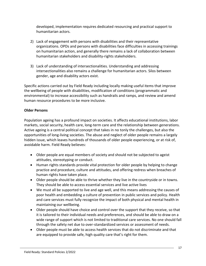developed, implementation requires dedicated resourcing and practical support to humanitarian actors.

- 2) Lack of engagement with persons with disabilities and their representative organizations. OPDs and persons with disabilities face difficulties in accessing trainings on humanitarian action, and generally there remains a lack of collaboration between humanitarian stakeholders and disability-rights stakeholders.
- 3) Lack of understanding of intersectionalities. Understanding and addressing intersectionalities also remains a challenge for humanitarian actors. Silos between gender, age and disability actors exist.

Specific actions carried out by Field Ready including locally making useful items that improve the wellbeing of people with disabilities, modification of conditions (programmatic and environmental) to increase accessibility such as handrails and ramps, and review and amend human resource procedures to be more inclusive.

## **Older Persons**

Population ageing has a profound impact on societies. It affects educational institutions, labor markets, social security, health care, long-term care and the relationship between generations. Active ageing is a central political concept that takes in no tonly the challenges, but also the opportunities of long-living societies. The abuse and neglect of older people remains a largely hidden issue, which leaves hundreds of thousands of older people experiencing, or at risk of, avoidable harm. Field Ready believes:

- Older people are equal members of society and should not be subjected to ageist attitudes, stereotyping or conduct.
- Human rights standards provide vital protection for older people by helping to change practice and procedure, culture and attitudes, and offering redress when breaches of human rights have taken place.
- Older people should be able to thrive whether they live in the countryside or in towns. They should be able to access essential services and live active lives
- We must all be supported to live and age well, and this means addressing the causes of poor health and embedding a culture of prevention in public services and policy. Health and care services must fully recognize the impact of both physical and mental health in maintaining our wellbeing.
- Older people should have choice and control over the support that they receive, so that it is tailored to their individual needs and preferences, and should be able to draw on a wide range of support which is not limited to traditional care services. No one should fall through the safety net due to over-standardized services or assessment of needs.
- Older people must be able to access health services that do not discriminate and that are equipped to provide safe, high quality care that's right for them.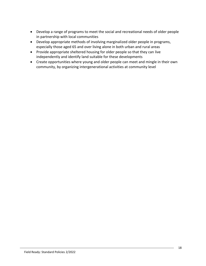- Develop a range of programs to meet the social and recreational needs of older people in partnership with local communities
- Develop appropriate methods of involving marginalized older people in programs, especially those aged 65 and over living alone in both urban and rural areas
- Provide appropriate sheltered housing for older people so that they can live independently and identify land suitable for these developments
- Create opportunities where young and older people can meet and mingle in their own community, by organizing intergenerational activities at community level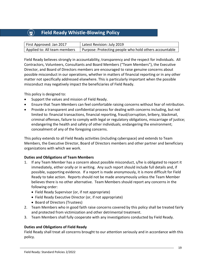# **Field Ready Whistle-Blowing Policy**

| First Approved: Jan 2017     | Latest Revision: July 2019                             |
|------------------------------|--------------------------------------------------------|
| Applied to: All team members | Purpose: Protecting people who hold others accountable |

Field Ready believes strongly in accountability, transparency and the respect for individuals. All Contractors, Volunteers, Consultants and Board Members ("Team Members"), the Executive Director, and Board of Directors members are encouraged to raise genuine concerns about possible misconduct in our operations, whether in matters of financial reporting or in any other matter not specifically addressed elsewhere. This is particularly important when the possible misconduct may negatively impact the beneficiaries of Field Ready.

This policy is designed to:

- Support the values and mission of Field Ready.
- Ensure that Team Members can feel comfortable raising concerns without fear of retribution.
- Provide a transparent and confidential process for dealing with concerns including, but not limited to: financial transactions, financial reporting, fraud/corruption, bribery, blackmail, criminal offenses, failure to comply with legal or regulatory obligations, miscarriage of justice; endangering the health and safety of other individuals; endangering the environment; concealment of any of the foregoing concerns.

This policy extends to all Field Ready activities (including cyberspace) and extends to Team Members, the Executive Director, Board of Directors members and other partner and beneficiary organizations with which we work.

#### **Duties and Obligations of Team Members**

- 1. If any Team Member has a concern about possible misconduct, s/he is obligated to report it immediately, either orally or in writing. Any such report should include full details and, if possible, supporting evidence. If a report is made anonymously, it is more difficult for Field Ready to take action. Reports should not be made anonymously unless the Team Member believes there is no other alternative. Team Members should report any concerns in the following order:
	- Field Ready Supervisor (or, if not appropriate)
	- Field Ready Executive Director (or, if not appropriate)
	- Board of Directors (Trustees)
- 2. Team Members who in good faith raise concerns covered by this policy shall be treated fairly and protected from victimization and other detrimental treatment.
- 3. Team Members shall fully cooperate with any investigations conducted by Field Ready.

#### **Duties and Obligations of Field Ready**

Field Ready shall treat all concerns brought to our attention seriously and in accordance with this policy.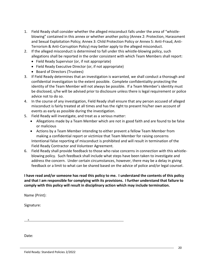- 1. Field Ready shall consider whether the alleged misconduct falls under the area of "whistleblowing" contained in this annex or whether another policy (Annex 2: Protection, Harassment and Sexual Exploitation Policy; Annex 3: Child Protection Policy or Annex 5: Anti-Fraud, Anti-Terrorism & Anti-Corruption Policy) may better apply to the alleged misconduct.
- 2. If the alleged misconduct is determined to fall under this whistle-blowing policy, such allegations shall be reported in the order consistent with which Team Members shall report:
	- Field Ready Supervisor (or, if not appropriate)
	- Field Ready Executive Director (or, if not appropriate)
	- Board of Directors (Trustees)
- 3. If Field Ready determines that an investigation is warranted, we shall conduct a thorough and confidential investigation to the extent possible. Complete confidentiality protecting the identity of the Team Member will not always be possible. If a Team Member's identity must be disclosed, s/he will be advised prior to disclosure unless there is legal requirement or police advice not to do so.
- 4. In the course of any investigation, Field Ready shall ensure that any person accused of alleged misconduct is fairly treated at all times and has the right to present his/her own account of events as early as possible during the investigation.
- 5. Field Ready will investigate, and treat as a serious matter:
	- Allegations made by a Team Member which are not in good faith and are found to be false or malicious
	- Actions by a Team Member intending to either prevent a fellow Team Member from making a confidential report or victimize that Team Member for raising concerns Intentional false reporting of misconduct is prohibited and will result in termination of the Field Ready Contractor and Volunteer Agreement.
- 6. Field Ready shall provide feedback to those who raise concerns in connection with this whistleblowing policy. Such feedback shall include what steps have been taken to investigate and address the concern. Under certain circumstances, however, there may be a delay in giving feedback or a limit to what can be shared based on the advice of police and/or legal counsel.

**I have read and/or someone has read this policy to me. I understand the contents of this policy and that I am responsible for complying with its provisions. I further understand that failure to comply with this policy will result in disciplinary action which may include termination.** 

Name (Print):

Signature:

X

Date: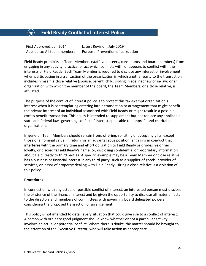# **Field Ready Conflict of Interest Policy**

| First Approved: Jan 2014     | Latest Revision: July 2019        |
|------------------------------|-----------------------------------|
| Applied to: All team members | Purpose: Prevention of corruption |

Field Ready prohibits its Team Members (staff, volunteers, consultants and board members) from engaging in any activity, practice, or act which conflicts with, or appears to conflict with, the interests of Field Ready. Each Team Member is required to disclose any interest or involvement when participating in a transaction of the organization in which another party to the transaction includes himself, a close relative (spouse, parent, child, sibling, niece, nephew or in-law) or an organization with which the member of the board, the Team Members, or a close relative, is affiliated.

The purpose of the conflict of interest policy is to protect this tax-exempt organization's interest when it is contemplating entering into a transaction or arrangement that might benefit the private interest of an individual associated with Field Ready or might result in a possible excess benefit transaction. This policy is intended to supplement but not replace any applicable state and federal laws governing conflict of interest applicable to nonprofit and charitable organizations.

In general, Team Members should refrain from: offering, soliciting or accepting gifts, except those of a nominal value, in return for an advantageous position; engaging in conduct that interferes with the primary time and effort obligation to Field Ready or divides his or her loyalty, or discredits Field Ready's name; or, disclosing confidential or proprietary information about Field Ready to third parties. A specific example may be a Team Member or close relative has a business or financial interest in any third party, such as a supplier of goods, provider of services, or lessor of property; dealing with Field Ready. Hiring a close relative is a violation of this policy.

#### **Procedures**

In connection with any actual or possible conflict of interest, an interested person must disclose the existence of the financial interest and be given the opportunity to disclose all material facts to the directors and members of committees with governing board delegated powers considering the proposed transaction or arrangement.

This policy is not intended to detail every situation that could give rise to a conflict of interest. A person with ordinary good judgment should know whether or not a particular activity involves an actual or potential conflict. Where there is doubt, the matter should be brought to the attention of the Executive Director, who will take action as appropriate.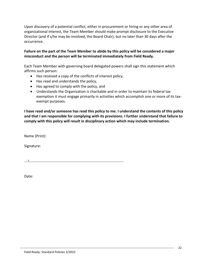Upon discovery of a potential conflict, either in procurement or hiring or any other area of organizational interest, the Team Member should make prompt disclosure to the Executive Director (and if s/he may be involved, the Board Chair), but no later than 30 days after the occurrence.

#### **Failure on the part of the Team Member to abide by this policy will be considered a major misconduct and the person will be terminated immediately from Field Ready.**

Each Team Member with governing board delegated powers shall sign this statement which affirms such person:

- Has received a copy of the conflicts of interest policy,
- Has read and understands the policy,
- Has agreed to comply with the policy, and
- Understands the Organization is charitable and in order to maintain its federal tax exemption it must engage primarily in activities which accomplish one or more of its taxexempt purposes.

**I have read and/or someone has read this policy to me. I understand the contents of this policy and that I am responsible for complying with its provisions. I further understand that failure to comply with this policy will result in disciplinary action which may include termination.** 

Name (Print):

Signature:

X

Date: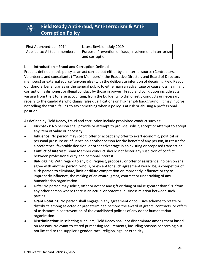# **(a)** Field Ready Anti-Fraud, Anti-Terrorism & Anti-**Corruption Policy**

| First Approved: Jan 2014     | Latest Revision: July 2019                             |
|------------------------------|--------------------------------------------------------|
| Applied to: All team members | Purpose: Prevention of fraud, involvement in terrorism |
|                              | and corruption                                         |

#### **I. Introduction – Fraud and Corruption Defined**

Fraud is defined in this policy as an act carried out either by an internal source (Contractors, Volunteers, and consultants ("Team Members"), the Executive Director, and Board of Directors members) or external source (anyone else) with the deliberate intention of deceiving Field Ready, our donors, beneficiaries or the general public to either gain an advantage or cause loss. Similarly, corruption is dishonest or illegal conduct by those in power. Fraud and corruption include acts varying from theft to false accounting, from the builder who dishonestly conducts unnecessary repairs to the candidate who claims false qualifications on his/her job background. It may involve not telling the truth, failing to say something when a policy is at risk or abusing a professional position.

As defined by Field Ready, fraud and corruption include prohibited conduct such as:

- **Kickbacks:** No person shall provide or attempt to provide, solicit, accept or attempt to accept any item of value or necessity.
- **Influence:** No person may solicit, offer or accept any offer to exert economic, political or personal pressure or influence on another person for the benefit of any person, in return for a preference, favorable decision, or other advantage in an existing or proposed transaction.
- **Conflict of Interest:** Team Member conduct should not foster any suspicion of conflict between professional duty and personal interest.
- **Bid-Rigging:** With regard to any bid, request, proposal, or offer of assistance, no person shall agree with another person, who is, or except for such agreement would be, a competitor of such person to eliminate, limit or dilute competition or improperly influence or try to improperly influence, the making of an award, grant, contract or undertaking of any humanitarian organization.
- **Gifts:** No person may solicit, offer or accept any gift or thing of value greater than \$20 from any other person where there is an actual or potential business relation between such parties.
- **Grant Rotating:** No person shall engage in any agreement or collusive scheme to rotate or distribute among selected or predetermined persons the award of grants, contracts, or offers of assistance in contravention of the established policies of any donor humanitarian organization.
- **Discrimination:** In selecting suppliers, Field Ready shall not discriminate among them based on reasons irrelevant to stated purchasing requirements, including reasons concerning but not limited to the supplier's gender, race, religion, age, or ethnicity.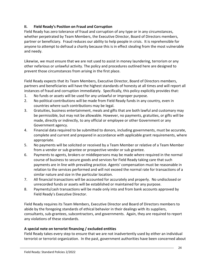## **II. Field Ready's Position on Fraud and Corruption**

Field Ready has zero tolerance of fraud and corruption of any type or in any circumstances, whether perpetrated by Team Members, the Executive Director, Board of Directors members, partner or beneficiary. Fraud reduces our ability to help people in crisis. It is reprehensible for anyone to attempt to defraud a charity because this is in effect stealing from the most vulnerable and needy.

Likewise, we must ensure that we are not used to assist in money laundering, terrorism or any other nefarious or unlawful activity. The policy and procedures outlined here are designed to prevent those circumstances from arising in the first place.

Field Ready expects that its Team Members, Executive Director, Board of Directors members, partners and beneficiaries will have the highest standards of honesty at all times and will report all instances of fraud and corruption immediately. Specifically, this policy explicitly provides that:

- 1. No funds or assets will be used for any unlawful or improper purpose.
- 2. No political contributions will be made from Field Ready funds in any country, even in countries where such contributions may be legal.
- 3. Gratuities, business entertainment, meals and gifts that are both lawful and customary may be permissible, but may not be allowable. However, no payments, gratuities, or gifts will be made, directly or indirectly, to any official or employee or other Government or any Government agency.
- 4. Financial data required to be submitted to donors, including governments, must be accurate, complete and current and prepared in accordance with applicable grant requirements, where appropriate.
- 5. No payments will be solicited or received by a Team Member or relative of a Team Member from a vendor or sub grantee or prospective vendor or sub grantee.
- 6. Payments to agents, brokers or middlepersons may be made where required in the normal course of business to secure goods and services for Field Ready taking care that such payments are in line with prevailing practice. Agents' compensation must be reasonable in relation to the services performed and will not exceed the normal rate for transactions of a similar nature and size in the particular location.
- 7. All financial transactions will be accounted for accurately and properly. No undisclosed or unrecorded funds or assets will be established or maintained for any purpose.
- 8. Payments/cash transactions will be made only into and from bank accounts approved by Field Ready's Executive Director.

Field Ready requires its Team Members, Executive Director and Board of Directors members to abide by the foregoing standards of ethical behavior in their dealings with its suppliers, consultants, sub-grantees, subcontractors, and governments. Again, they are required to report any violations of these standards.

## **A special note on terrorist financing / excluded entities**

Field Ready takes every step to ensure that we are not inadvertently used by either an individual terrorist or terrorist organization. In the past, government authorities have been concerned about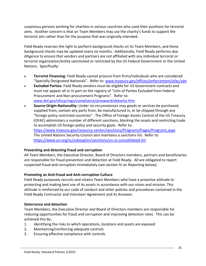suspicious persons working for charities in various countries who used their positions for terrorist aims. Another concern is that an Team Members may use the charity's funds to support the terrorist aim rather than for the purpose that was originally intended.

Field Ready reserves the right to perform background checks on its Team Members, and these background checks may be updated every six months. Additionally, Field Ready performs due diligence to ensure that vendors and partners are not affiliated with any individual terrorist or terrorist organization/entity sanctioned or restricted by the US Federal Government or the United Nations. Specifically:

- **Terrorist Financing**: Field Ready cannot procure from firms/individuals who are considered "Specially Designated Nationals". Refer to: [www.treasury.gov/offices/enforcement/ofac/sdn](http://www.treasury.gov/offices/enforcement/ofac/sdn)
- **Excluded Parties:** Field Ready vendors must be eligible for US Government contracts and must not appear all or in part on the registry of "Lists of Parties Excluded from Federal Procurement and Non-procurement Programs". Refer to: [www.dol.gov/ofccp/regs/compliance/preaward/debarlst.htm](http://www.dol.gov/ofccp/regs/compliance/preaward/debarlst.htm)
- **Source-Origin-Nationality:** Under no circumstances may goods or services be purchased, supplied from, contain any parts from, be manufactured in, or be shipped through any "foreign policy restricted countries". The Office of Foreign Assets Control of the US Treasury (OFAC) administers a number of different sanctions, blocking the assets and restricting trade to accomplish US foreign policy and security goals. Refer to: <https://www.treasury.gov/resource-center/sanctions/Programs/Pages/Programs.aspx> The United Nations Security Council also maintains a sanctions list. Refer to: <https://www.un.org/sc/suborg/en/sanctions/un-sc-consolidated-list>

#### **Preventing and detecting fraud and corruption**

All Team Members, the Executive Director, Board of Directors members, partners and beneficiaries are responsible for fraud prevention and detection at Field Ready. All are obligated to report suspected fraud and corruption immediately (see section IV on Reporting below).

#### **Promoting an Anti-fraud and Anti-corruption Culture**

Field Ready purposely recruits and retains Team Members who have a proactive attitude to protecting and making best use of its assets in accordance with our vision and mission. This attitude is reinforced by our code of conduct and other policies and procedures contained in the Field Ready Contractor and Volunteer Agreement and its Annexes.

#### **Deterrence and detection**

Team Members, the Executive Director and Board of Directors members are responsible for reducing opportunities for fraud and corruption and improving detection rates. This can be achieved this by:

- 1. Identifying the risks to which operations, locations and assets are exposed
- 2. Maintaining/reinforcing adequate controls
- 3. Ensuring effective compliance with controls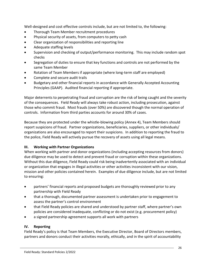Well-designed and cost effective controls include, but are not limited to, the following:

- Thorough Team Member recruitment procedures
- Physical security of assets, from computers to petty cash
- Clear organization of responsibilities and reporting line
- Adequate staffing levels
- Supervision and checking of output/performance monitoring. This may include random spot checks
- Segregation of duties to ensure that key functions and controls are not performed by the same Team Member
- Rotation of Team Members if appropriate (where long-term staff are employed)
- Complete and secure audit trails
- Budgetary and other financial reports in accordance with Generally Accepted Accounting Principles (GAAP). Audited financial reporting if appropriate.

Major deterrents to perpetrating fraud and corruption are the risk of being caught and the severity of the consequences. Field Ready will always take robust action, including prosecution, against those who commit fraud. Most frauds (over 50%) are discovered though the normal operation of controls. Information from third parties accounts for around 30% of cases.

Because they are protected under the whistle-blowing policy (Annex 4), Team Members should report suspicions of fraud. Partner organizations, beneficiaries, suppliers, or other individuals/ organizations are also encouraged to report their suspicions. In addition to reporting the fraud to the police, Field Ready will actively pursue the recovery of assets using all legal means.

## **III. Working with Partner Organizations**

When working with partner and donor organizations (including accepting resources from donors) due diligence may be used to detect and prevent fraud or corruption within these organizations. Without this due diligence, Field Ready could risk being inadvertently associated with an individual or organization that engages in illegal activities or other activities inconsistent with our vision, mission and other policies contained herein. Examples of due diligence include, but are not limited to ensuring:

- partners' financial reports and proposed budgets are thoroughly reviewed prior to any partnership with Field Ready
- that a thorough, documented partner assessment is undertaken prior to engagement to assess the partner's control environment
- that Field Ready policies are shared and understood by partner staff, where partner's own policies are considered inadequate, conflicting or do not exist (e.g. procurement policy)
- a signed partnership agreement supports all work with partners

## **IV. Reporting**

Field Ready's policy is that Team Members, the Executive Director, Board of Directors members, partners and donors conduct their activities morally, ethically, and in the spirit of accountability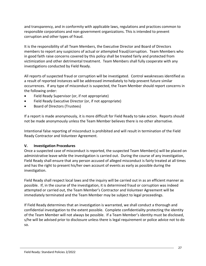and transparency, and in conformity with applicable laws, regulations and practices common to responsible corporations and non-government organizations. This is intended to prevent corruption and other types of fraud.

It is the responsibility of all Team Members, the Executive Director and Board of Directors members to report any suspicions of actual or attempted fraud/corruption. Team Members who in good faith raise concerns covered by this policy shall be treated fairly and protected from victimization and other detrimental treatment. Team Members shall fully cooperate with any investigations conducted by Field Ready.

All reports of suspected fraud or corruption will be investigated. Control weaknesses identified as a result of reported instances will be addressed immediately to help prevent future similar occurrences. If any type of misconduct is suspected, the Team Member should report concerns in the following order:

- Field Ready Supervisor (or, if not appropriate)
- Field Ready Executive Director (or, if not appropriate)
- Board of Directors (Trustees)

If a report is made anonymously, it is more difficult for Field Ready to take action. Reports should not be made anonymously unless the Team Member believes there is no other alternative.

Intentional false reporting of misconduct is prohibited and will result in termination of the Field Ready Contractor and Volunteer Agreement.

#### **V. Investigation Procedures**

Once a suspected case of misconduct is reported, the suspected Team Member(s) will be placed on administrative leave while the investigation is carried out. During the course of any investigation, Field Ready shall ensure that any person accused of alleged misconduct is fairly treated at all times and has the right to present his/her own account of events as early as possible during the investigation.

Field Ready shall respect local laws and the inquiry will be carried out in as an efficient manner as possible. If, in the course of the investigation, it is determined fraud or corruption was indeed attempted or carried out, the Team Member's Contractor and Volunteer Agreement will be immediately terminated and the Team Member may be subject to legal proceedings.

If Field Ready determines that an investigation is warranted, we shall conduct a thorough and confidential investigation to the extent possible. Complete confidentiality protecting the identity of the Team Member will not always be possible. If a Team Member's identity must be disclosed, s/he will be advised prior to disclosure unless there is legal requirement or police advice not to do so.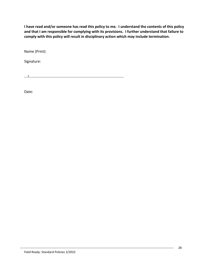**I have read and/or someone has read this policy to me. I understand the contents of this policy and that I am responsible for complying with its provisions. I further understand that failure to comply with this policy will result in disciplinary action which may include termination.** 

Name (Print):

Signature:

X

Date: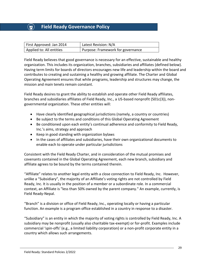## **Field Ready Governance Policy**

| First Approved: Jan 2014 | Latest Revision: N/A              |
|--------------------------|-----------------------------------|
| Applied to: All entities | Purpose: Framework for governance |

Field Ready believes that good governance is necessary for an effective, sustainable and healthy organization. This includes its organization, branches, subsidiaries and affiliates (defined below). Having term limits for boards of directors encourages new life and leadership within the board and contributes to creating and sustaining a healthy and growing affiliate. The Charter and Global Operating Agreement ensures that while programs, leadership and structures may change, the mission and main tenets remain constant.

Field Ready desires to grant the ability to establish and operate other Field Ready affiliates, branches and subsidiaries affiliates of Field Ready, Inc., a US-based nonprofit (501c(3)), nongovernmental organization. These other entities will:

- Have clearly identified geographical jurisdictions (namely, a country or countries)
- Be subject to the terms and conditions of this Global Operating Agreement
- Be conditioned upon each entity's continual adherence and conformity to Field Ready, Inc.'s aims, strategy and approach
- Keep in good standing with organization bylaws
- In the cases of affiliates and subsidiaries, have their own organizational documents to enable each to operate under particular jurisdictions

Consistent with the Field Ready Charter, and in consideration of the mutual promises and covenants contained in the Global Operating Agreement, each new branch, subsidiary and affiliate agrees to be bound by the terms contained therein.

"Affiliate" relates to another legal entity with a close connection to Field Ready, Inc. However, unlike a "Subsidiary", the majority of an Affiliate's voting rights are not controlled by Field Ready, Inc. It is usually in the position of a member or a subordinate role. In a commercial context, an Affiliate is "less than 50% owned by the parent company." An example, currently, is Field Ready-Nepal.

"Branch" is a division or office of Field Ready, Inc., operating locally or having a particular function. An example is a program office established in a country in response to a disaster.

"Subsidiary" is an entity in which the majority of voting rights is controlled by Field Ready, Inc. A subsidiary may be nonprofit (usually also charitable tax-exempt) or for-profit. Examples include commercial 'spin-offs' (e.g., a limited liability corporation) or a non-profit corporate entity in a country which allows such arrangements.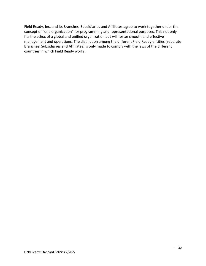Field Ready, Inc. and its Branches, Subsidiaries and Affiliates agree to work together under the concept of "one organization" for programming and representational purposes. This not only fits the ethos of a global and unified organization but will foster smooth and effective management and operations. The distinction among the different Field Ready entities (separate Branches, Subsidiaries and Affiliates) is only made to comply with the laws of the different countries in which Field Ready works.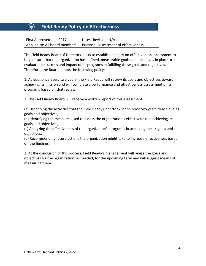# **Field Ready Policy on Effectiveness**

| First Approved: Jan 2017      | Latest Revision: N/A                 |
|-------------------------------|--------------------------------------|
| Applied to: All board members | Purpose: Assessment of effectiveness |

The Field Ready Board of Directors seeks to establish a policy on effectiveness assessment to help ensure that the organization has defined, measurable goals and objectives in place to evaluate the success and impact of its programs in fulfilling these goals and objectives. Therefore, the Board adopts the following policy:

1. At least once every two years, the Field Ready will review its goals and objectives toward achieving its mission and will complete a performance and effectiveness assessment of its programs based on that review

2. The Field Ready Board will receive a written report of this assessment:

(a) Describing the activities that the Field Ready undertook in the prior two years to achieve its goals and objectives,

(b) Identifying the measures used to assess the organization's effectiveness in achieving its goals and objectives,

(c) Analyzing the effectiveness of the organization's programs in achieving the its goals and objectives,

(d) Recommending future actions the organization might take to increase effectiveness based on the findings.

3. At the conclusion of this process, Field Ready's management will revise the goals and objectives for the organization, as needed, for the upcoming term and will suggest means of measuring them.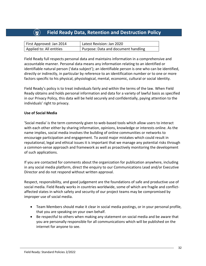# **Field Ready Data, Retention and Destruction Policy**

| First Approved: Jan 2014 | Latest Revision: Jan 2020           |
|--------------------------|-------------------------------------|
| Applied to: All entities | Purpose: Data and document handling |

Field Ready full respects personal data and maintains information in a comprehensive and accountable manner. Personal data means any information relating to an identified or identifiable natural person ('data subject'); an identifiable person is one who can be identified, directly or indirectly, in particular by reference to an identification number or to one or more factors specific to his physical, physiological, mental, economic, cultural or social identity.

Field Ready's policy is to treat individuals fairly and within the terms of the law. When Field Ready obtains and holds personal information and data for a variety of lawful basis as specified in our Privacy Policy, this data will be held securely and confidentially, paying attention to the individuals' right to privacy.

#### **Use of Social Media**

'Social media' is the term commonly given to web-based tools which allow users to interact with each other either by sharing information, opinions, knowledge or interests online. As the name implies, social media involves the building of online communities or networks to encourage participation and engagement. To avoid major mistakes which could result in reputational, legal and ethical issues it is important that we manage any potential risks through a common-sense approach and framework as well as proactively monitoring the development of such applications.

If you are contacted for comments about the organization for publication anywhere, including in any social media platform, direct the enquiry to our Communications Lead and/or Executive Director and do not respond without written approval.

Respect, responsibility, and good judgement are the foundations of safe and productive use of social media. Field Ready works in countries worldwide, some of which are fragile and conflictaffected states in which safety and security of our project teams may be compromised by improper use of social media.

- Team Members should make it clear in social media postings, or in your personal profile, that you are speaking on your own behalf.
- Be respectful to others when making any statement on social media and be aware that you are personally responsible for all communications which will be published on the internet for anyone to see.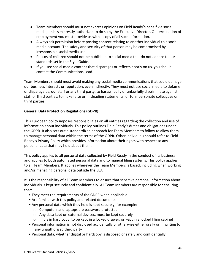- Team Members should must not express opinions on Field Ready's behalf via social media, unless expressly authorized to do so by the Executive Director. On termination of employment you must provide us with a copy of all such information.
- Always ask permission before posting content relating to another individual to a social media account. The safety and security of that person may be compromised by irresponsible social media use.
- Photos of children should not be published to social media that do not adhere to our standards set in the Style Guide.
- If you see social media content that disparages or reflects poorly on us, you should contact the Communications Lead.

Team Members should must avoid making any social media communications that could damage our business interests or reputation, even indirectly. They must not use social media to defame or disparage us, our staff or any third party; to harass, bully or unlawfully discriminate against staff or third parties; to make false or misleading statements; or to impersonate colleagues or third parties.

## **General Data Protection Regulations (GDPR)**

This European policy imposes responsibilities on all entities regarding the collection and use of information about individuals. This policy outlines Field Ready's duties and obligations under the GDPR. It also sets out a standardized approach for Team Members to follow to allow them to manage personal data within the terms of the GDPR. Other individuals should refer to Field Ready's Privacy Policy which provides information about their rights with respect to any personal data that may hold about them.

This policy applies to all personal data collected by Field Ready in the conduct of its business and applies to both automated personal data and to manual filing systems. This policy applies to all Team Members. It applies wherever the Team Members is based, including when working and/or managing personal data outside the EEA.

It is the responsibility of all Team Members to ensure that sensitive personal information about individuals is kept securely and confidentially. All Team Members are responsible for ensuring that:

- They meet the requirements of the GDPR when applicable
- Are familiar with this policy and related documents
- Any personal data which they hold is kept securely, for example:
	- o Computers and laptops are password protected
	- o Any data kept on external devices, must be kept securely
	- $\circ$  If it is in hard copy, to be kept in a locked drawer, or kept in a locked filing cabinet
- Personal information is not disclosed accidentally or otherwise either orally or in writing to any unauthorized third party
- Personal data, whether digital or hardcopy is disposed of safely and confidentially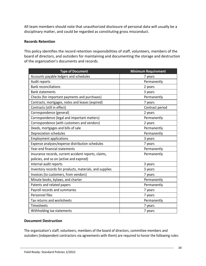All team members should note that unauthorized disclosure of personal data will usually be a disciplinary matter, and could be regarded as constituting gross misconduct.

#### **Records Retention**

This policy identifies the record retention responsibilities of staff, volunteers, members of the board of directors, and outsiders for maintaining and documenting the storage and destruction of the organization's documents and records.

| <b>Type of Document</b>                                 | <b>Minimum Requirement</b> |
|---------------------------------------------------------|----------------------------|
| Accounts payable ledgers and schedules                  | 7 years                    |
| Audit reports                                           | Permanently                |
| <b>Bank reconciliations</b>                             | 2 years                    |
| <b>Bank statements</b>                                  | 3 years                    |
| Checks (for important payments and purchases)           | Permanently                |
| Contracts, mortgages, notes and leases (expired)        | 7 years                    |
| Contracts (still in effect)                             | Contract period            |
| Correspondence (general)                                | 2 years                    |
| Correspondence (legal and important matters)            | Permanently                |
| Correspondence (with customers and vendors)             | 2 years                    |
| Deeds, mortgages and bills of sale                      | Permanently                |
| Depreciation schedules                                  | Permanently                |
| <b>Employment applications</b>                          | 3 years                    |
| Expense analyses/expense distribution schedules         | 7 years                    |
| Year-end financial statements                           | Permanently                |
| Insurance records, current accident reports, claims,    | Permanently                |
| policies, and so on (active and expired)                |                            |
| Internal audit reports                                  | 3 years                    |
| Inventory records for products, materials, and supplies | 3 years                    |
| Invoices (to customers, from vendors)                   | 7 years                    |
| Minute books, bylaws, and charter                       | Permanently                |
| Patents and related papers                              | Permanently                |
| Payroll records and summaries                           | 7 years                    |
| Personnel files                                         | 7 years                    |
| Tax returns and worksheets                              | Permanently                |
| Timesheets                                              | 7 years                    |
| Withholding tax statements                              | 7 years                    |

#### **Document Destruction**

The organization's staff, volunteers, members of the board of directors, committee members and outsiders (independent contractors via agreements with them) are required to honor the following rules: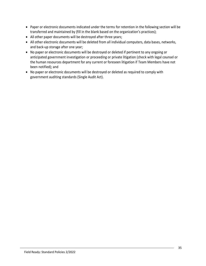- Paper or electronic documents indicated under the terms for retention in the following section will be transferred and maintained by (fill in the blank based on the organization's practices);
- All other paper documents will be destroyed after three years;
- All other electronic documents will be deleted from all individual computers, data bases, networks, and back-up storage after one year;
- No paper or electronic documents will be destroyed or deleted if pertinent to any ongoing or anticipated government investigation or proceeding or private litigation (check with legal counsel or the human resources department for any current or foreseen litigation if Team Members have not been notified); and
- No paper or electronic documents will be destroyed or deleted as required to comply with government auditing standards (Single Audit Act).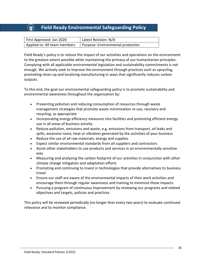# **Field Ready Environmental Safeguarding Policy**

| First Approved: Jan 2020     | Latest Revision: N/A              |
|------------------------------|-----------------------------------|
| Applied to: All team members | Purpose: Environmental protection |

Field Ready's policy is to reduce the impact of our activities and operations on the environment to the greatest extent possible while maintaining the primacy of our humanitarian principles. Complying with all applicable environmental legislation and sustainability commitments is not enough. We actively seek to improve the environment through practices such as upcycling, promoting clean-up and localizing manufacturing in ways that significantly reduces carbon outputs.

To this end, the goal our environmental safeguarding policy is to promote sustainability and environmental awareness throughout the organization by:

- Preventing pollution and reducing consumption of resources through waste management strategies that promote waste minimization re-use, recovery and recycling, as appropriate
- Incorporating energy efficiency measures into facilities and promoting efficient energy use in all areas of business activity
- Reduce pollution, emissions and waste, e.g. emissions from transport, oil leaks and spills, excessive noise, heat or vibration generated by the activities of your business
- Reduce the use of all raw materials, energy and supplies
- Expect similar environmental standards from all suppliers and contractors
- Assist other stakeholders to use products and services in an environmentally sensitive way
- Measuring and analyzing the carbon footprint of our activities in conjunction with other climate change mitigation and adaptation efforts
- Promoting and continuing to invest in technologies that provide alternatives to business travel
- Ensure our staff are aware of the environmental impacts of their work activities and encourage them through regular awareness and training to minimize those impacts.
- Pursuing a program of continuous improvement by reviewing our programs and related objectives and targets, policies and practices

This policy will be reviewed periodically (no longer than every two years) to evaluate continued relevance and to monitor compliance.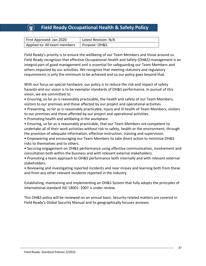# **Field Ready Occupational Health & Safety Policy**

| First Approved: Jan 2020     | Latest Revision: N/A |
|------------------------------|----------------------|
| Applied to: All team members | Purpose: OH&S        |

Field Ready's priority is to ensure the wellbeing of our Team Members and those around us. Field Ready recognizes that effective Occupational Health and Safety (OH&S) management is an integral part of good management and is essential for safeguarding our Team Members and others impacted by our activities. We recognize that meeting statutory and regulatory requirements is only the minimum to be achieved and so our policy goes beyond that.

With our focus on special hardware, our policy is to reduce the risk and impact of safety hazards and our vision is to be exemplar standards of OH&S performance. In pursuit of this vision, we are committed to:

• Ensuring, so far as is reasonably practicable, the health and safety of our Team Members, visitors to our premises and those affected by our project and operational activities.

• Preventing, so far as is reasonably practicable, injury and ill health of Team Members, visitors to our premises and those affected by our project and operational activities.

• Promoting health and wellbeing in the workplace.

• Ensuring, so far as is reasonably practicable, that our Team Members are competent to undertake all of their work activities without risk to safety, health or the environment, through the provision of adequate information, effective instruction, training and supervision.

• Empowering and encouraging our Team Members to take direct action to minimize OH&S risks to themselves and to others.

• Securing engagement on OH&S performance using effective communication, involvement and consultation both within the business and with relevant external stakeholders.

• Promoting a team approach to OH&S performance both internally and with relevant external stakeholders.

• Reviewing and investigating reported incidents and near misses and learning both from these and from any other relevant incidents reported in the industry.

Establishing, maintaining and implementing an OH&S System that fully adopts the principles of international standard ISO 18001: 2007 is under review.

This OH&S policy will be reviewed on an annual basis. Security-related matters are covered in Field Ready's Global Security Manual and its geographically focuses annexes.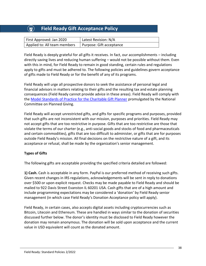# **Field Ready Gift Acceptance Policy**

| First Approved: Jan 2020     | Latest Revision: N/A     |
|------------------------------|--------------------------|
| Applied to: All team members | Purpose: Gift acceptance |

Field Ready is deeply grateful for all gifts it receives. In fact, our accomplishments – including directly saving lives and reducing human suffering – would not be possible without them. Even with this in mind, for Field Ready to remain in good standing, certain rules and regulations apply to gifts and must be adhered to. The following policies and guidelines govern acceptance of gifts made to Field Ready or for the benefit of any of its programs.

Field Ready will urge all prospective donors to seek the assistance of personal legal and financial advisors in matters relating to their gifts and the resulting tax and estate planning consequences (Field Ready cannot provide advice in these areas). Field Ready will comply with the [Model Standards of Practice for the Charitable Gift Planner](https://charitablegiftplanners.org/standards) promulgated by the National Committee on Planned Giving.

Field Ready will accept unrestricted gifts, and gifts for specific programs and purposes, provided that such gifts are not inconsistent with our mission, purposes and priorities. Field Ready may not accept gifts that are too restrictive in purpose. Gifts that are too restrictive are those that violate the terms of our charter (e.g., anti-social goods and stocks of food and pharmaceuticals and certain commodities), gifts that are too difficult to administer, or gifts that are for purposes outside Field Ready's mission. All final decisions on the restrictive nature of a gift, and its acceptance or refusal, shall be made by the organization's senior management.

## **Types of Gifts**

The following gifts are acceptable providing the specified criteria detailed are followed:

**1) Cash.** Cash is acceptable in any form. PayPal is our preferred method of receiving such gifts. Given recent changes in IRS regulations, acknowledgements will be sent in reply to donations over \$500 or upon explicit request. Checks may be made payable to Field Ready and should be mailed to 922 Davis Street Evanston IL 60201 USA. Cash gifts that are of a high amount and include programming expectations may be considered a 'donation' by Field Ready senior management (in which case Field Ready's Donation Acceptance policy will apply).

Field Ready, in certain cases, also accepts digital assets including cryptocurrencies such as Bitcoin, Litecoin and Ethereum. These are handled in ways similar to the donation of securities discussed further below. The donor's identity must be disclosed to Field Ready however the donation may remain anonymous. The donation will be sold upon acceptance and the current value in USD equivalent will count as the donated amount.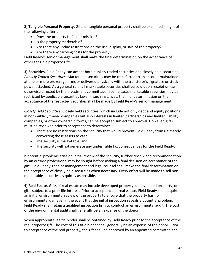**2) Tangible Personal Property.** Gifts of tangible personal property shall be examined in light of the following criteria:

- Does the property fulfill our mission?
- Is the property marketable?
- Are there any undue restrictions on the use, display, or sale of the property?
- Are there any carrying costs for the property?

Field Ready's senior management shall make the final determination on the acceptance of other tangible property gifts.

**3) Securities.** Field Ready can accept both publicly traded securities and closely held securities. *Publicly Traded Securities*. Marketable securities may be transferred to an account maintained at one or more brokerage firms or delivered physically with the transferor's signature or stock power attached. As a general rule, all marketable securities shall be sold upon receipt unless otherwise directed by the investment committee. In some cases marketable securities may be restricted by applicable securities laws. In such instances, the final determination on the acceptance of the restricted securities shall be made by Field Ready's senior management.

*Closely Held Securities*. Closely held securities, which include not only debt and equity positions in non-publicly traded companies but also interests in limited partnerships and limited liability companies, or other ownership forms, can be accepted subject to approval. However, gifts must be reviewed prior to acceptance to determine:

- There are no restrictions on the security that would prevent Field Ready from ultimately converting those assets to cash
- The security is marketable, and
- The security will not generate any undesirable tax consequences for the Field Ready.

If potential problems arise on initial review of the security, further review and recommendation by an outside professional may be sought before making a final decision on acceptance of the gift. Field Ready's senior management and legal counsel shall make the final determination on the acceptance of closely held securities when necessary. Every effort will be made to sell nonmarketable securities as quickly as possible.

**4) Real Estate**. Gifts of real estate may include developed property, undeveloped property, or gifts subject to a prior life interest. Prior to acceptance of real estate, Field Ready shall require an initial environmental review of the property to ensure that the property has no environmental damage. In the event that the initial inspection reveals a potential problem, Field Ready shall retain a qualified inspection firm to conduct an environmental audit. The cost of the environmental audit shall generally be an expense of the donor.

When appropriate, a title binder shall be obtained by Field Ready prior to the acceptance of the real property gift. The cost of this title binder shall generally be an expense of the donor. Prior to acceptance of the real property, the gift shall be approved by an appointed committee and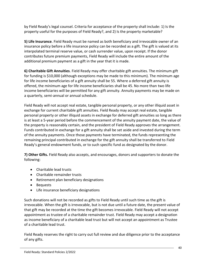by Field Ready's legal counsel. Criteria for acceptance of the property shall include: 1) Is the property useful for the purposes of Field Ready?, and 2) Is the property marketable?

**5) Life Insurance**. Field Ready must be named as both beneficiary and irrevocable owner of an insurance policy before a life insurance policy can be recorded as a gift. The gift is valued at its interpolated terminal reserve value, or cash surrender value, upon receipt. If the donor contributes future premium payments, Field Ready will include the entire amount of the additional premium payment as a gift in the year that it is made.

**6) Charitable Gift Annuities**. Field Ready may offer charitable gift annuities. The minimum gift for funding is \$10,000 (although exceptions may be made to this minimum). The minimum age for life income beneficiaries of a gift annuity shall be 55. Where a deferred gift annuity is offered, the minimum age for life income beneficiaries shall be 45. No more than two life income beneficiaries will be permitted for any gift annuity. Annuity payments may be made on a quarterly, semi-annual or annual schedule.

Field Ready will not accept real estate, tangible personal property, or any other illiquid asset in exchange for current charitable gift annuities. Field Ready may accept real estate, tangible personal property or other illiquid assets in exchange for deferred gift annuities so long as there is at least a 5-year period before the commencement of the annuity payment date, the value of the property is reasonably certain, and the president of Field Ready approves the arrangement. Funds contributed in exchange for a gift annuity shall be set aside and invested during the term of the annuity payments. Once those payments have terminated, the funds representing the remaining principal contributed in exchange for the gift annuity shall be transferred to Field Ready's general endowment funds, or to such specific fund as designated by the donor.

**7) Other Gifts.** Field Ready also accepts, and encourages, donors and supporters to donate the following:

- Charitable lead trusts
- Charitable remainder trusts
- Retirement plan beneficiary designations
- Bequests
- Life insurance beneficiary designations

Such donations will not be recorded as gifts to Field Ready until such time as the gift is irrevocable. When the gift is irrevocable, but is not due until a future date, the present value of that gift may be recorded at the time the gift becomes irrevocable. Field Ready will not accept appointment as trustee of a charitable remainder trust. Field Ready may accept a designation as income beneficiary of a charitable lead trust but will not accept an appointment as Trustee of a charitable lead trust.

Field Ready reserves the right to carry out full review and due diligence prior to the acceptance of any gifts.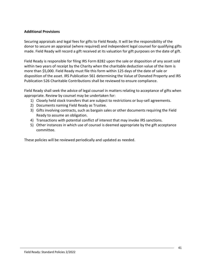#### **Additional Provisions**

Securing appraisals and legal fees for gifts to Field Ready. It will be the responsibility of the donor to secure an appraisal (where required) and independent legal counsel for qualifying gifts made. Field Ready will record a gift received at its valuation for gift purposes on the date of gift.

Field Ready is responsible for filing IRS Form 8282 upon the sale or disposition of any asset sold within two years of receipt by the Charity when the charitable deduction value of the item is more than \$5,000. Field Ready must file this form within 125 days of the date of sale or disposition of the asset. IRS Publication 561 determining the Value of Donated Property and IRS Publication 526 Charitable Contributions shall be reviewed to ensure compliance.

Field Ready shall seek the advice of legal counsel in matters relating to acceptance of gifts when appropriate. Review by counsel may be undertaken for:

- 1) Closely held stock transfers that are subject to restrictions or buy-sell agreements.
- 2) Documents naming Field Ready as Trustee.
- 3) Gifts involving contracts, such as bargain sales or other documents requiring the Field Ready to assume an obligation.
- 4) Transactions with potential conflict of interest that may invoke IRS sanctions.
- 5) Other instances in which use of counsel is deemed appropriate by the gift acceptance committee.

These policies will be reviewed periodically and updated as needed.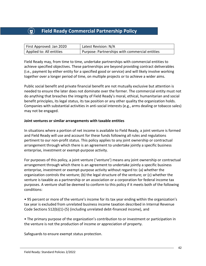# **Field Ready Commercial Partnership Policy**

| First Approved: Jan 2020 | Latest Revision: N/A                           |
|--------------------------|------------------------------------------------|
| Applied to: All entities | Purpose: Partnerships with commercial entities |

Field Ready may, from time to time, undertake partnerships with commercial entities to achieve specified objectives. These partnerships are beyond providing contract deliverables (i.e., payment by either entity for a specified good or service) and will likely involve working together over a longer period of time, on multiple projects or to achieve a wider aims.

Public social benefit and private financial benefit are not mutually exclusive but attention is needed to ensure the later does not dominate over the former. The commercial entity must not do anything that breaches the integrity of Field Ready's moral, ethical, humanitarian and social benefit principles, its legal status, its tax position or any other quality the organization holds. Companies with substantial activities in anti-social interests (e.g., arms dealing or tobacco sales) may not be engaged.

#### **Joint ventures or similar arrangements with taxable entities**

In situations where a portion of net income is available to Field Ready, a joint venture is formed and Field Ready will use and account for these funds following all rules and regulations pertinent to our non-profit status. This policy applies to any joint ownership or contractual arrangement through which there is an agreement to undertake jointly a specific business enterprise, investment or exempt-purpose activity.

For purposes of this policy, a joint venture ('venture') means any joint ownership or contractual arrangement through which there is an agreement to undertake jointly a specific business enterprise, investment or exempt-purpose activity without regard to: (a) whether the organization controls the venture; (b) the legal structure of the venture; or (c) whether the venture is taxable as a partnership or an association or a corporation for federal income tax purposes. A venture shall be deemed to conform to this policy if it meets both of the following conditions:

• 95 percent or more of the venture's income for its tax year ending within the organization's tax year is excluded from unrelated business income taxation described in Internal Revenue Code Sections 512(b)(1)-(5) (including unrelated debt-financed income), and

• The primary purpose of the organization's contribution to or investment or participation in the venture is not the production of income or appreciation of property.

Safeguards to ensure exempt status protection.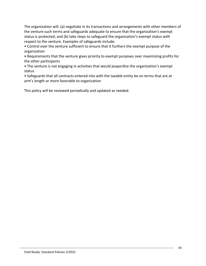The organization will: (a) negotiate in its transactions and arrangements with other members of the venture such terms and safeguards adequate to ensure that the organization's exempt status is protected; and (b) take steps to safeguard the organization's exempt status with respect to the venture. Examples of safeguards include:

• Control over the venture sufficient to ensure that it furthers the exempt purpose of the organization

• Requirements that the venture gives priority to exempt purposes over maximizing profits for the other participants

• The venture is not engaging in activities that would jeopardize the organization's exempt status

• Safeguards that all contracts entered into with the taxable entity be on terms that are at arm's length or more favorable to organization

This policy will be reviewed periodically and updated as needed.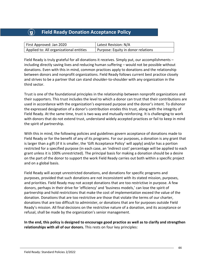# **Field Ready Donation Acceptance Policy**

| First Approved: Jan 2020                | Latest Revision: N/A               |
|-----------------------------------------|------------------------------------|
| Applied to: All organizational entities | Purpose: Equity in donor relations |

Field Ready is truly grateful for all donations it receives. Simply put, our accomplishments – including directly saving lives and reducing human suffering – would not be possible without donations. Even with this in mind, common practices apply to donations and the relationship between donors and nonprofit organizations. Field Ready follows current best practice closely and strives to be a partner that can stand shoulder-to-shoulder with any organization in the third sector.

Trust is one of the foundational principles in the relationship between nonprofit organizations and their supporters. This trust includes the level to which a donor can trust that their contributions are used in accordance with the organization's expressed purpose and the donor's intent. To dishonor the expressed designation of a donor's contribution erodes this trust, along with the integrity of Field Ready. At the same time, trust is two way and mutually reinforcing. It is challenging to work with donors that do not extend trust, understand widely accepted practices or fail to keep in mind the spirit of partnership.

With this in mind, the following policies and guidelines govern acceptance of donations made to Field Ready or for the benefit of any of its programs. For our purposes, a donation is any grant that is larger than a gift (if it is smaller, the 'Gift Acceptance Policy' will apply) and/or has a portion restricted for a specified purpose (in each case, an 'indirect cost' percentage will be applied to each grant unless it is 100% unrestricted). The principal basis for making a donation should be a desire on the part of the donor to support the work Field Ready carries out both within a specific project and on a global basis.

Field Ready will accept unrestricted donations, and donations for specific programs and purposes, provided that such donations are not inconsistent with its stated mission, purposes, and priorities. Field Ready may not accept donations that are too restrictive in purpose. A few donors, perhaps in their drive for 'efficiency' and 'business models,' can lose the spirit of partnership and hold restrictions that make the cost of implementation exceed the value of the donation. Donations that are too restrictive are those that violate the terms of our charter, donations that are too difficult to administer, or donations that are for purposes outside Field Ready's mission. All final decisions on the restrictive nature of a donation, and its acceptance or refusal, shall be made by the organization's senior management.

**In the end, this policy is designed to encourage good practice as well as to clarify and strengthen relationships with all of our donors.** This rests on four key principles: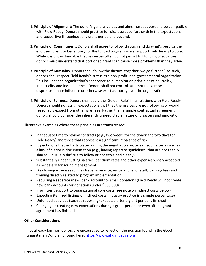- 1.**Principle of Alignment:** The donor's general values and aims must support and be compatible with Field Ready. Donors should practice full disclosure, be forthwith in the expectations and supportive throughout any grant period and beyond.
- **2.Principle of Commitment:** Donors shall agree to follow through and do what's best for the end user (client or beneficiary) of the funded program whilst support Field Ready to do so. While it is understandable that resources often do not permit full funding of activities, donors must understand that portioned grants can cause more problems than they solve.
- **3.Principle of Mutuality:** Donors shall follow the dictum 'together, we go further.' As such, donors shall respect Field Ready's status as a non-profit, non-governmental organization. This includes the organization's adherence to humanitarian principles of neutrality, impartiality and independence. Donors shall not control, attempt to exercise disproportionate influence or otherwise exert authority over the organization.
- 4.**Principle of Fairness:** Donors shall apply the 'Golden Rule' in its relations with Field Ready. Donors should not assign expectations that they themselves are not following or would reasonably expect from other grantees. Rather than a simple contractual agreement, donors should consider the inherently unpredictable nature of disasters and innovation.

Illustrative examples where these principles are transgressed:

- Inadequate time to review contracts (e.g., two weeks for the donor and two days for Field Ready) and those that represent a significant imbalance of risk
- Expectations that not articulated during the negotiation process or soon after as well as a lack of clarity in documentation (e.g., having separate 'guidelines' that are not readily shared, unusually difficult to follow or not explained clearly)
- Substantially under cutting salaries, per diem rates and other expenses widely accepted as necessary for sound management
- Disallowing expenses such as travel insurance, vaccinations for staff, banking fees and training directly related to program implementation
- Requiring a separate (new) bank account for small donations (Field Ready will not create new bank accounts for donations under \$500,000)
- Insufficient support to organizational core costs (see note on indirect costs below)
- Expecting itemized listings of indirect costs (industry practice is a simple percentage)
- Unfunded activities (such as reporting) expected after a grant period is finished
- Changing or creating new expectations during a grant period, or even after a grant agreement has finished

## **Other Considerations**

If not already familiar, donors are encouraged to reflect on the position found in the Good Humanitarian Donorship found here: [https://www.ghdinitiative.org](https://www.ghdinitiative.org/)